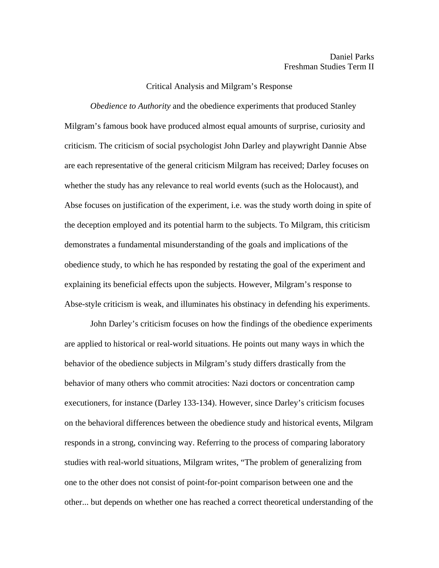## Critical Analysis and Milgram's Response

*Obedience to Authority* and the obedience experiments that produced Stanley Milgram's famous book have produced almost equal amounts of surprise, curiosity and criticism. The criticism of social psychologist John Darley and playwright Dannie Abse are each representative of the general criticism Milgram has received; Darley focuses on whether the study has any relevance to real world events (such as the Holocaust), and Abse focuses on justification of the experiment, i.e. was the study worth doing in spite of the deception employed and its potential harm to the subjects. To Milgram, this criticism demonstrates a fundamental misunderstanding of the goals and implications of the obedience study, to which he has responded by restating the goal of the experiment and explaining its beneficial effects upon the subjects. However, Milgram's response to Abse-style criticism is weak, and illuminates his obstinacy in defending his experiments.

 John Darley's criticism focuses on how the findings of the obedience experiments are applied to historical or real-world situations. He points out many ways in which the behavior of the obedience subjects in Milgram's study differs drastically from the behavior of many others who commit atrocities: Nazi doctors or concentration camp executioners, for instance (Darley 133-134). However, since Darley's criticism focuses on the behavioral differences between the obedience study and historical events, Milgram responds in a strong, convincing way. Referring to the process of comparing laboratory studies with real-world situations, Milgram writes, "The problem of generalizing from one to the other does not consist of point-for-point comparison between one and the other... but depends on whether one has reached a correct theoretical understanding of the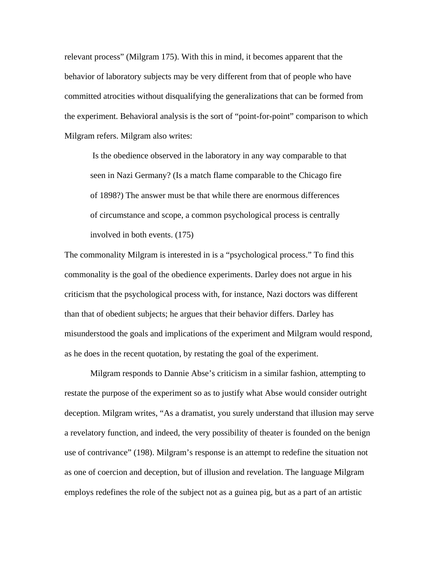relevant process" (Milgram 175). With this in mind, it becomes apparent that the behavior of laboratory subjects may be very different from that of people who have committed atrocities without disqualifying the generalizations that can be formed from the experiment. Behavioral analysis is the sort of "point-for-point" comparison to which Milgram refers. Milgram also writes:

 Is the obedience observed in the laboratory in any way comparable to that seen in Nazi Germany? (Is a match flame comparable to the Chicago fire of 1898?) The answer must be that while there are enormous differences of circumstance and scope, a common psychological process is centrally involved in both events. (175)

The commonality Milgram is interested in is a "psychological process." To find this commonality is the goal of the obedience experiments. Darley does not argue in his criticism that the psychological process with, for instance, Nazi doctors was different than that of obedient subjects; he argues that their behavior differs. Darley has misunderstood the goals and implications of the experiment and Milgram would respond, as he does in the recent quotation, by restating the goal of the experiment.

 Milgram responds to Dannie Abse's criticism in a similar fashion, attempting to restate the purpose of the experiment so as to justify what Abse would consider outright deception. Milgram writes, "As a dramatist, you surely understand that illusion may serve a revelatory function, and indeed, the very possibility of theater is founded on the benign use of contrivance" (198). Milgram's response is an attempt to redefine the situation not as one of coercion and deception, but of illusion and revelation. The language Milgram employs redefines the role of the subject not as a guinea pig, but as a part of an artistic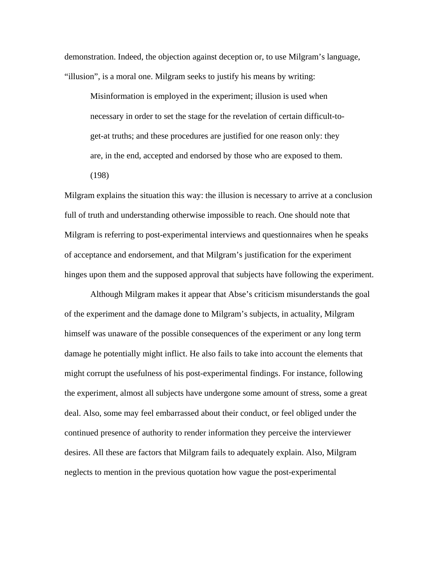demonstration. Indeed, the objection against deception or, to use Milgram's language, "illusion", is a moral one. Milgram seeks to justify his means by writing:

Misinformation is employed in the experiment; illusion is used when necessary in order to set the stage for the revelation of certain difficult-toget-at truths; and these procedures are justified for one reason only: they are, in the end, accepted and endorsed by those who are exposed to them. (198)

Milgram explains the situation this way: the illusion is necessary to arrive at a conclusion full of truth and understanding otherwise impossible to reach. One should note that Milgram is referring to post-experimental interviews and questionnaires when he speaks of acceptance and endorsement, and that Milgram's justification for the experiment hinges upon them and the supposed approval that subjects have following the experiment.

 Although Milgram makes it appear that Abse's criticism misunderstands the goal of the experiment and the damage done to Milgram's subjects, in actuality, Milgram himself was unaware of the possible consequences of the experiment or any long term damage he potentially might inflict. He also fails to take into account the elements that might corrupt the usefulness of his post-experimental findings. For instance, following the experiment, almost all subjects have undergone some amount of stress, some a great deal. Also, some may feel embarrassed about their conduct, or feel obliged under the continued presence of authority to render information they perceive the interviewer desires. All these are factors that Milgram fails to adequately explain. Also, Milgram neglects to mention in the previous quotation how vague the post-experimental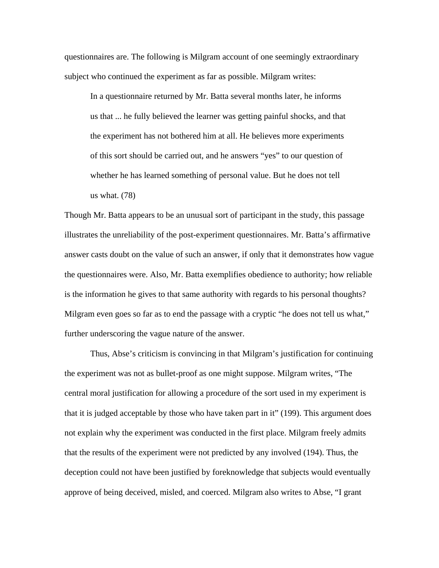questionnaires are. The following is Milgram account of one seemingly extraordinary subject who continued the experiment as far as possible. Milgram writes:

In a questionnaire returned by Mr. Batta several months later, he informs us that ... he fully believed the learner was getting painful shocks, and that the experiment has not bothered him at all. He believes more experiments of this sort should be carried out, and he answers "yes" to our question of whether he has learned something of personal value. But he does not tell us what. (78)

Though Mr. Batta appears to be an unusual sort of participant in the study, this passage illustrates the unreliability of the post-experiment questionnaires. Mr. Batta's affirmative answer casts doubt on the value of such an answer, if only that it demonstrates how vague the questionnaires were. Also, Mr. Batta exemplifies obedience to authority; how reliable is the information he gives to that same authority with regards to his personal thoughts? Milgram even goes so far as to end the passage with a cryptic "he does not tell us what," further underscoring the vague nature of the answer.

 Thus, Abse's criticism is convincing in that Milgram's justification for continuing the experiment was not as bullet-proof as one might suppose. Milgram writes, "The central moral justification for allowing a procedure of the sort used in my experiment is that it is judged acceptable by those who have taken part in it" (199). This argument does not explain why the experiment was conducted in the first place. Milgram freely admits that the results of the experiment were not predicted by any involved (194). Thus, the deception could not have been justified by foreknowledge that subjects would eventually approve of being deceived, misled, and coerced. Milgram also writes to Abse, "I grant